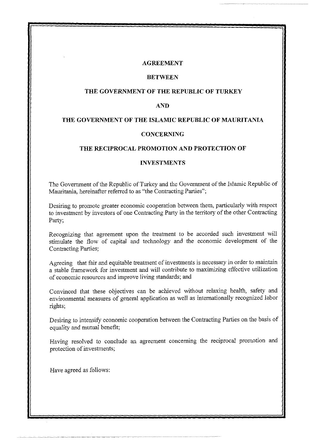#### **AGREEMENT**

#### **BETWEEN**

### **THE GOVERNMENT OF THE REPUBLIC OF TURKEY**

#### **AND**

#### **THE GOVERNMENT OF THE ISLAMIC REPUBLIC OF MAURITANIA**

### **CONCERNING**

### **THE RECIPROCAL PROMOTION AND PROTECTION OF**

## **INVESTMENTS**

The Government of the Republic of Turkey and the Government of the Islamic Republic of Mauritania, hereinafter referred to as "the Contracting Parties";

Desiring to promote greater economic cooperation between them, particularly with respect to investment by investors of one Contracting Party in the territory of the other Contracting Party;

Recognizing that agreement upon the treatment to be accorded such investment will stimulate the flow of capital and technology and the economic development of the Contracting Parties;

Agreeing that fair and equitable treatment of investments is necessary in order to maintain a stable framework for investment and will contribute to maximizing effective utilization of economic resources and improve living standards; and

Convinced that these objectives can be achieved without relaxing health, safety and environmental measures of general application as well as internationally recognized labor rights;

Desiring to intensify economic cooperation between the Contracting Parties on the basis of equality and mutual benefit;

Having resolved to conclude an agreement concerning the reciprocal promotion and protection of investments;

Have agreed as follows: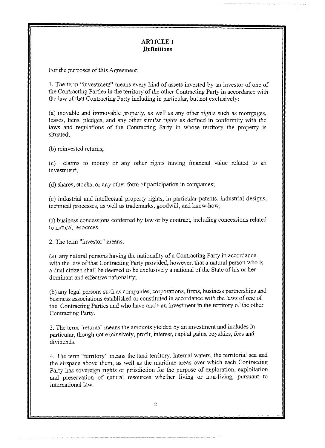# **ARTICLE 1 Definitions**

For the purposes of this Agreement;

1. The term "investment" means every kind of assets invested by an investor of one of the Contracting Parties in the territory of the other Contracting Party in accordance with the law of that Contracting Party including in particular, but not exclusively:

(a) movable and immovable property, as well as any other rights such as mortgages, leases, liens, pledges, and any other similar rights as defined in conformity with the laws and regulations of the Contracting Party in whose territory the property is situated;

(b) reinvested returns;

( c) claims to money or any other rights having financial value related to an investment;

(d) shares, stocks, or any other form of participation in companies;

( e) industrial and intellectual property rights, in particular patents, industrial designs, technical processes, as well as trademarks, goodwill, and know-how;

(f) business concessions conferred by law or by contract, including concessions related to natural resources.

2. The term "investor" means:

( a) any natural persons having the nationality of a Contracting Party in accordance with the law of that Contracting Party provided, however, that a natural person who is a dual citizen shall be deemed to be exclusively a national of the State of his or her dominant and effective nationality;

(b) any legal persons such as companies, corporations, firms, business partnerships and business associations established or constituted in accordance with the laws of one of the Contracting Parties and who have made an investment in the territory of the other Contracting Party.

3. The term "returns" means the amounts yielded by an investment and includes in particular, though not exclusively, profit, interest, capital gains, royalties, fees and dividends.

4. The term "territory" means the land territory, internal waters, the territorial sea and the airspace above them, as well as the maritime areas over which each Contracting Party has sovereign rights or jurisdiction for the purpose of exploration, exploitation and preservation of natural resources whether living or non-living, pursuant to international law.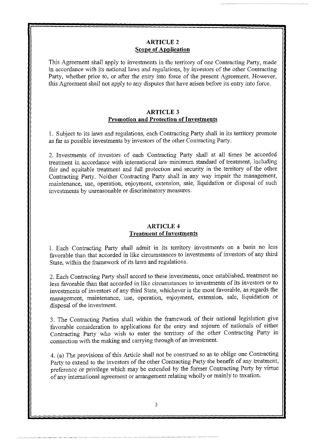## **ARTICLE2 Scope of Application**

This Agreement shall apply to investments in the territory of one Contracting Party, made in accordance with its national laws and regulations, by investors of the other Contracting Party, whether prior to, or after the entry into force of the present Agreement. However, this Agreement shall not apply to any disputes that have arisen before its entry into force.

# **ARTICLE3 Promotion and Protection of Investments**

1. Subject to its laws and regulations, each Contracting Party shall in its territory promote as far as possible investments by investors of the other Contracting Party.

2. Investments of investors of each Contracting Party shall at all times be accorded treatment in accordance with international law minimum standard of treatment, including fair and equitable treatment and full protection and security in the territory of the other Contracting Party. Neither Contracting Party shall in any way impair the management, maintenance, use, operation, enjoyment, extension, sale, liquidation or disposal of such investments by unreasonable or discriminatory measures.

# **ARTICLE4 Treatment of Investments**

I. Each Contracting Party shall admit in its territory investments on a basis no less favorable than that accorded in like circumstances to investments of investors of any third State, within the framework of its laws and regulations.

2. Each Contracting Party shall accord to these investments, once established, treatment no less favorable than that accorded in like circumstances to investments of its investors or to investments of investors of any third State, whichever is the most favorable, as regards the management, maintenance, use, operation, enjoyment, extension, sale, liquidation or disposal of the investment.

3. The Contracting Parties shall within the framework of their national legislation give favorable consideration to applications for the entry and sojourn of nationals of either Contracting Party who wish to enter the territory of the other Contracting Party in connection with the making and carrying through of an investment.

4. (a) The provisions of this Article shall not be construed so as to oblige one Contracting Party to extend to the investors of the other Contracting Party the benefit of any treatment, preference or privilege which may be extended by the former Contracting Party by virtue of any international agreement or arrangement relating wholly or mainly to taxation.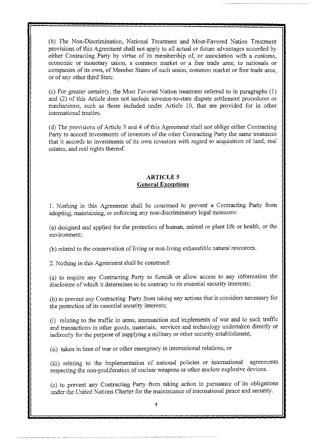(b) The Non-Discrimination, National Treatment and Most-Favored Nation Treatment provisions of this Agreement shall not apply to all actual or future advantages accorded by either Contracting Party by virtue of its membership of, or association with a customs, economic or monetary union, a common market or a free trade area; to nationals or companies of its own, of Member States of such union, common market or free trade area, or of any other third State.

(c) For greater certainty, the Most Favored Nation treatment referred to in paragraphs (1) and (2) of this Article does not include investor-to-state dispute settlement procedures or mechanisms, such as those included under Article 10, that are provided for in other international treaties.

( d) The provisions of Article 3 and 4 of this Agreement shall not oblige either Contracting Party to accord investments of investors of the other Contracting Party the same treatment that it accords to investments of its own investors with regard to acquisition of land, real estates, and real rights thereof.

## **ARTICLES General Exceptions**

1. Nothing in this Agreement shall be construed to prevent a Contracting Party from adopting, maintaining, or enforcing any non-discriminatory legal measures:

(a) designed and applied for the protection of human, animal or plant life or health, or the environment;

(b) related to the conservation of living or non-living exhaustible natural resources.

2. Nothing in this Agreement shall be construed:

(a) to require any Contracting Party to furnish or allow access to any information the disclosure of which it determines to be contrary to its essential security interests;

(b) to prevent any Contracting Party from taking any actions that it considers necessary for the protection of its essential security interests;

(i) relating to the traffic in arms, ammunition and implements of war and to such traffic and transactions in other goods, materials, services and technology undertaken directly or indirectly for the purpose of supplying a military or other security establishment,

(ii) taken in time of war or other emergency in international relations, or

(iii) relating to the implementation of national policies or international agreements respecting the non-proliferation of nuclear weapons or other nuclear explosive devices.

( c) to prevent any Contracting Party from taking action in pursuance of its obligations under the United Nations Charter for the maintenance of international peace and security.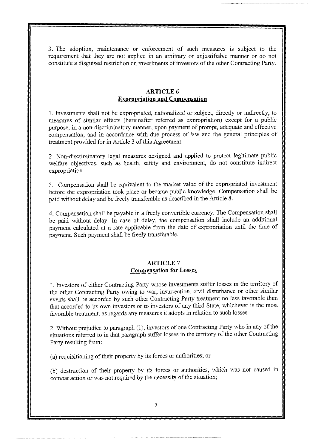3. The adoption, maintenance or enforcement of such measures is subject to the requirement that they are not applied in an arbitrary or unjustifiable manner or do not constitute a disguised restriction on investments of investors of the other Contracting Party.

## **ARTICLE6 Expropriation and Compensation**

1. Investments shall not be expropriated, nationalized or subject, directly or indirectly, to measures of similar effects (hereinafter referred as expropriation) except for a public purpose, in a non-discriminatory manner, upon payment of prompt, adequate and effective compensation, and in accordance with due process of law and the general principles of treatment provided for in Article 3 of this Agreement.

2. Non-discriminatory legal measures designed and applied to protect legitimate public welfare objectives, such as health, safety and environment, do not constitute indirect expropriation.

3. Compensation shall be equivalent to the market value of the expropriated investment before the expropriation took place or became public knowledge. Compensation shall be paid without delay and be freely transferable as described in the Article 8.

4. Compensation shall be payable in a freely convertible currency. The Compensation shall be paid without delay. In case of delay, the compensation shall include an additional payment calculated at a rate applicable from the date of expropriation until the time of payment. Such payment shall be freely transferable.

### **ARTICLE** 7 **Compensation for Losses**

1. Investors of either Contracting Party whose investments suffer losses in the territory of the other Contracting Party owing to war, insurrection, civil disturbance or other similar events shall be accorded by such other Contracting Party treatment no less favorable than that accorded to its own investors or to investors of any third State, whichever is the most favorable treatment, as regards any measures it adopts in relation to such losses.

2. Without prejudice to paragraph (1 ), investors of one Contracting Party who in any of the situations referred to in that paragraph suffer losses in the territory of the other Contracting Party resulting from:

(a) requisitioning of their property by its forces or authorities; or

(b) destruction of their property by its forces or authorities, which was not caused in combat action or was not required by the necessity of the situation;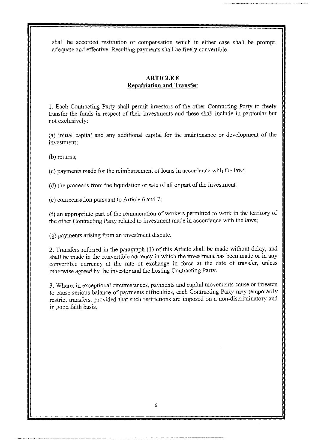shall be accorded restitution or compensation which in either case shall be prompt, adequate and effective. Resulting payments shall be freely convertible.

## **ARTICLES Repatriation and Transfer**

1. Each Contracting Party shall permit investors of the other Contracting Party to freely transfer the funds in respect of their investments and these shall include in particular but not exclusively:

(a) initial capital and any additional capital for the maintenance or development of the investment;

(b) returns;

( c) payments made for the reimbursement of loans in accordance with the law;

( d) the proceeds from the liquidation or sale of all or part of the investment;

(e) compensation pursuant to Article 6 and 7;

(f) an appropriate part of the remuneration of workers permitted to work in the territory of the other Contracting Party related to investment made in accordance with the laws;

(g) payments arising from an investment dispute.

2. Transfers referred in the paragraph(]) of this Article shall be made without delay, and shall be made in the convertible currency in which the investment has been made or in any convertible currency at the rate of exchange in force at the date of transfer, unless otherwise agreed by the investor and the hosting Contracting Party.

3. Where, in exceptional circumstances, payments and capital movements cause or threaten to cause serious balance of payments difficulties, each Contracting Party may temporarily restrict transfers, provided that such restrictions are imposed on a non-discriminatory and in good faith basis.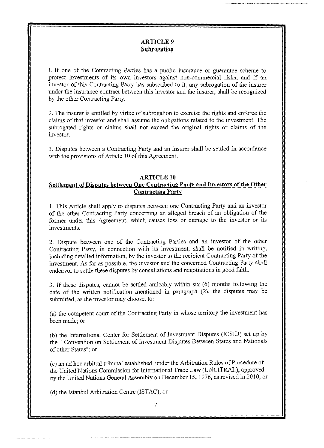### **ARTICLE9 Subrogation**

l. If one of the Contracting Parties has a public insurance or guarantee scheme to protect investments of its own investors against non-commercial risks, and if an investor of this Contracting Party has subscribed to it, any subrogation of the insurer under the insurance contract between this investor and the insurer, shall be recognized by the other Contracting Party.

2. The insurer is entitled by virtue of subrogation to exercise the rights and enforce the claims of that investor and shall assume the obligations related to the investment. The subrogated rights or claims shall not exceed the original rights or claims of the investor.

3. Disputes between a Contracting Party and an insurer shall be settled in accordance with the provisions of Article 10 of this Agreement.

### **ARTICLE 10**

# **Settlement of Disputes between One Contracting Party and Investors of the Other Contracting Party**

I. This Article shall apply to disputes between one Contracting Party and an investor of the other Contracting Party concerning an alleged breach of an obligation of the former under this Agreement, which causes loss or damage to the investor or its investments.

2. Dispute between one of the Contracting Parties and an investor of the other Contracting Party, in connection with its investment, shall be notified in writing, including detailed information, by the investor to the recipient Contracting Party of the investment. As far as possible, the investor and the concerned Contracting Party shall endeavor to settle these disputes by consultations and negotiations in good faith.

3. If these disputes, cannot be settled amicably within six (6) months following the date of the written notification mentioned in paragraph (2), the disputes may be submitted, as the investor may choose, to:

(a) the competent court of the Contracting Party in whose territory the investment has been made; or

(b) the International Center for Settlement of Investment Disputes (IC SID) set up by the " Convention on Settlement of Investment Disputes Between States and Nationals of other States"; or

(c) an ad hoc arbitral tribunal established under the Arbitration Rules of Procedure of the United Nations Commission for International Trade Law (UNCITRAL), approved by the United Nations General Assembly on December 15, 1976, as revised in 2010; or

(d) the Istanbul Arbitration Centre (ISTAC); or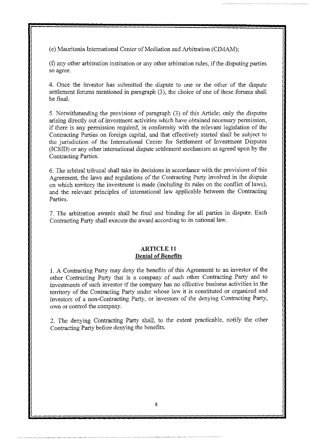(e) Mauritania International Center of Mediation and Arbitration (CIMAM);

(f) any other arbitration institution or any other arbitration rules, if the disputing parties so agree.

4. Once the investor has submitted the dispute to one or the other of the dispute settlement forums mentioned in paragraph (3), the choice of one of these forums shall be final.

5. Notwithstanding the provisions of paragraph (3) of this Article; only the disputes arising directly out of investment activities which have obtained necessary permission, if there is any permission required, in conformity with the relevant legislation of the Contracting Parties on foreign capital, and that effectively started shall be subject to the jurisdiction of the International Center for Settlement of Investment Disputes (ICSID) or any other international dispute settlement mechanism as agreed upon by the Contracting Parties.

6. The arbitral tribunal shall take its decisions in accordance with the provisions of this Agreement, the laws and regulations of the Contracting Party involved in the dispute on which territory the investment is made (including its rules on the conflict of laws), and the relevant principles of international law applicable between the Contracting Parties.

7. The arbitration awards shall be final and binding for all parties in dispute. Each Contracting Party shall execute the award according to its national law.

### **ARTICLE 11 Denial of Benefits**

1. A Contracting Party may deny the benefits of this Agreement to an investor of the other Contracting Party that is a company of such other Contracting Party and to investments of such investor if the company has no effective business activities in the territory of the Contracting Party under whose law it is constituted or organized and investors of a non-Contracting Party, or investors of the denying Contracting Party, own or control the company.

2. The denying Contracting Party shall, to the extent practicable, notify the other Contracting Party before denying the benefits.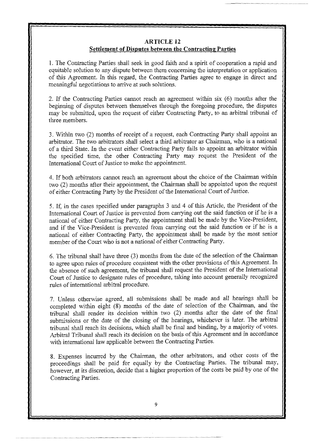## **ARTICLE 12 Settlement of Disputes between the Contracting Parties**

l. The Contracting Parties shall seek in good faith and a spirit of cooperation a rapid and equitable solution to any dispute between them concerning the interpretation or application of this Agreement. In this regard, the Contracting Parties agree to engage in direct and meaningful negotiations to arrive at such solutions.

2. If the Contracting Parties cannot reach an agreement within six (6) months after the beginning of disputes between themselves through the foregoing procedure, the disputes may be submitted, upon the request of either Contracting Party, to an arbitral tribunal of three members.

3. Within two (2) months of receipt of a request, each Contracting Party shall appoint an arbitrator. The two arbitrators shall select a third arbitrator as Chairman, who is a national of a third State. In the event either Contracting Party fails to appoint an arbitrator within the specified time, the other Contracting Party may request the President of the International Court of Justice to make the appointment.

4. If both arbitrators cannot reach an agreement about the choice of the Chairman within two (2) months after their appointment, the Chairman shall be appointed upon the request of either Contracting Party by the President of the International Court of Justice.

5. If, in the cases specified under paragraphs 3 and 4 of this Article, the President of the International Court of Justice is prevented from carrying out the said function or if he is a national of either Contracting Party, the appointment shall be made by the Vice-President, and if the Vice-President is prevented from carrying out the said function or if he is a national of either Contracting Party, the appointment shall be made by the most senior member of the Court who is not a national of either Contracting Party.

6. The tribunal shall have three (3) months from the date of the selection of the Chairman to agree upon rules of procedure consistent with the other provisions of this Agreement. In the absence of such agreement, the tribunal shall request the President of the International Court of Justice to designate rules of procedure, taking into account generally recognized rules of international arbitral procedure.

7. Unless otherwise agreed, all submissions shall be made and all hearings shall be completed within eight (8) months of the date of selection of the Chairman, and the tribunal shall render its decision within two (2) months after the date of the final submissions or the date of the closing of the hearings, whichever is later. The arbitral tribunal shall reach its decisions, which shall be final and binding, by a majority of votes. Arbitral Tribunal shall reach its decision on the basis of this Agreement and in accordance with international law applicable between the Contracting Parties.

8. Expenses incurred by the Chairman, the other arbitrators, and other costs of the proceedings shall be paid for equally by the Contracting Parties. The tribunal may, however, at its discretion, decide that a higher proportion of the costs be paid by one of the Contracting Parties.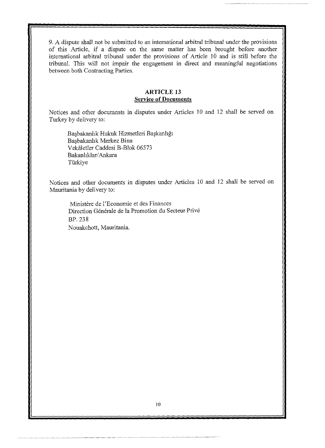9. A dispute shall not be submitted to an international arbitral tribunal under the provisions of this Article, if a dispute on the same matter has been brought before another international arbitral tribunal under the provisions of Article 10 and is still before the tribunal. This will not impair the engagement in direct and meaningful negotiations between both Contracting Parties.

# **ARTICLE 13 Service of Documents**

Notices and other documents in disputes under Articles 10 and 12 shall be served on Turkey by delivery to:

Ba§bakanhk Hukuk Hizmetleri Ba§kanhg1 Ba§bakanhk Merkez Bina Vekâletler Caddesi B-Blok 06573 Bakanlıklar/Ankara Tiirkiye

Notices and other documents in disputes under Articles 10 and 12 shall be served on Mauritania by delivery to:

Ministère de l'Economie et des Finances Direction Générale de la Promotion du Secteur Privé BP. 238 Nouakchott, Mauritania.